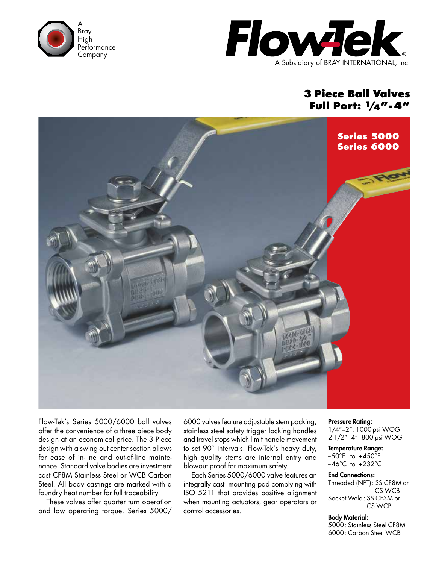



## **3 Piece Ball Valves Full Port: 1/4"-4"**



Flow-Tek's Series 5000/6000 ball valves offer the convenience of a three piece body design at an economical price. The 3 Piece design with a swing out center section allows for ease of in-line and out-of-line maintenance. Standard valve bodies are investment cast CF8M Stainless Steel or WCB Carbon Steel. All body castings are marked with a foundry heat number for full traceability.

These valves offer quarter turn operation and low operating torque. Series 5000/ 6000 valves feature adjustable stem packing, stainless steel safety trigger locking handles and travel stops which limit handle movement to set 90° intervals. Flow-Tek's heavy duty, high quality stems are internal entry and blowout proof for maximum safety.

Each Series 5000/6000 valve features an integrally cast mounting pad complying with ISO 5211 that provides positive alignment when mounting actuators, gear operators or control accessories.

Pressure Rating: 1/4"–2": 1000 psi WOG 2-1/2"–4": 800 psi WOG

Temperature Range:  $-50^{\circ}$ F to  $+450^{\circ}$ F  $-46^{\circ}$ C to  $+232^{\circ}$ C

End Connections: Threaded (NPT): SS CF8M or CS WCB Socket Weld: SS CF3M or CS WCB

Body Material: 5000: Stainless Steel CF8M 6000: Carbon Steel WCB